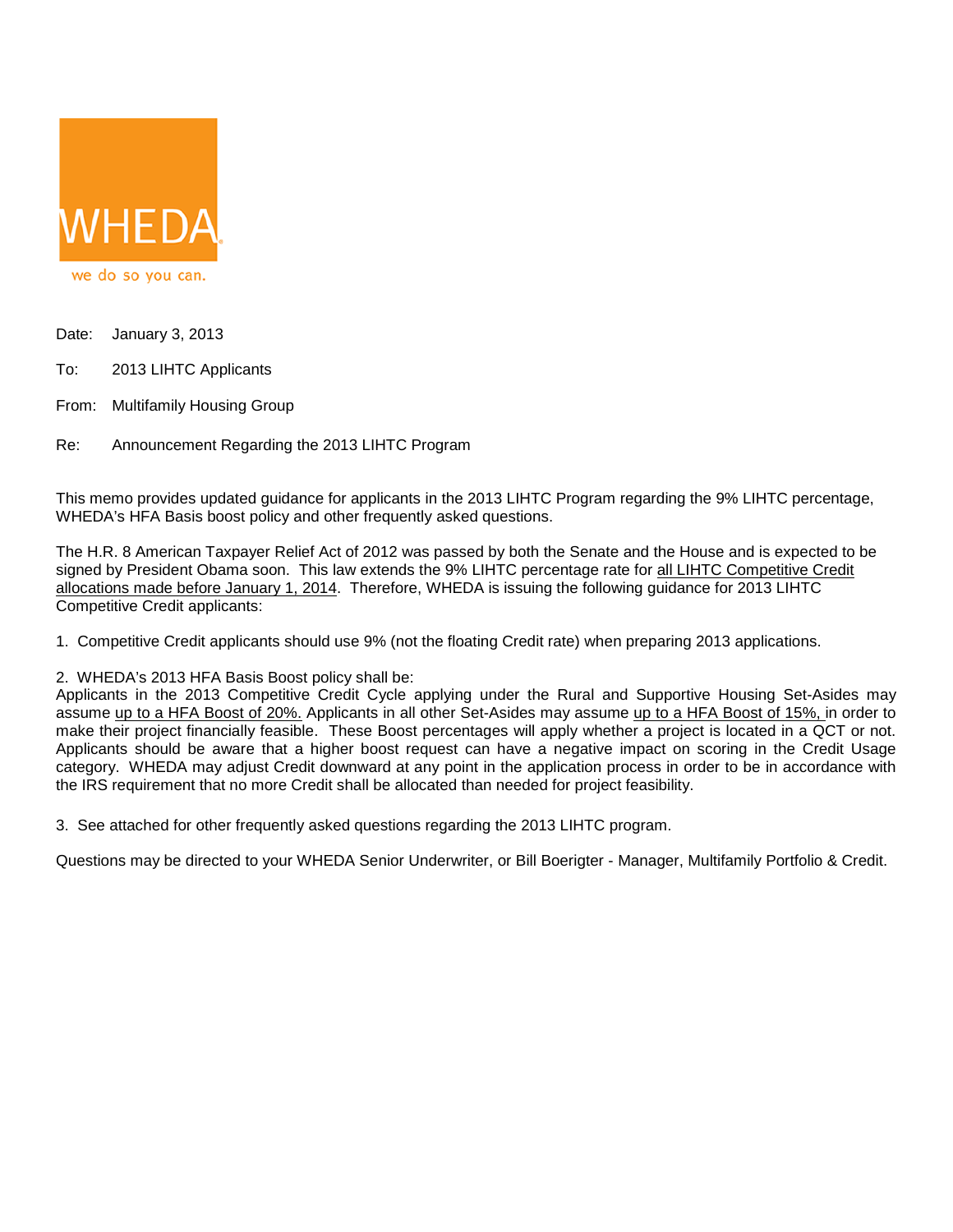

- Date: January 3, 2013
- To: 2013 LIHTC Applicants
- From: Multifamily Housing Group
- Re: Announcement Regarding the 2013 LIHTC Program

This memo provides updated guidance for applicants in the 2013 LIHTC Program regarding the 9% LIHTC percentage, WHEDA's HFA Basis boost policy and other frequently asked questions.

The H.R. 8 American Taxpayer Relief Act of 2012 was passed by both the Senate and the House and is expected to be signed by President Obama soon. This law extends the 9% LIHTC percentage rate for all LIHTC Competitive Credit allocations made before January 1, 2014. Therefore, WHEDA is issuing the following guidance for 2013 LIHTC Competitive Credit applicants:

1. Competitive Credit applicants should use 9% (not the floating Credit rate) when preparing 2013 applications.

2. WHEDA's 2013 HFA Basis Boost policy shall be:

Applicants in the 2013 Competitive Credit Cycle applying under the Rural and Supportive Housing Set-Asides may assume up to a HFA Boost of 20%. Applicants in all other Set-Asides may assume up to a HFA Boost of 15%, in order to make their project financially feasible. These Boost percentages will apply whether a project is located in a QCT or not. Applicants should be aware that a higher boost request can have a negative impact on scoring in the Credit Usage category. WHEDA may adjust Credit downward at any point in the application process in order to be in accordance with the IRS requirement that no more Credit shall be allocated than needed for project feasibility.

3. See attached for other frequently asked questions regarding the 2013 LIHTC program.

Questions may be directed to your WHEDA Senior Underwriter, or Bill Boerigter - Manager, Multifamily Portfolio & Credit.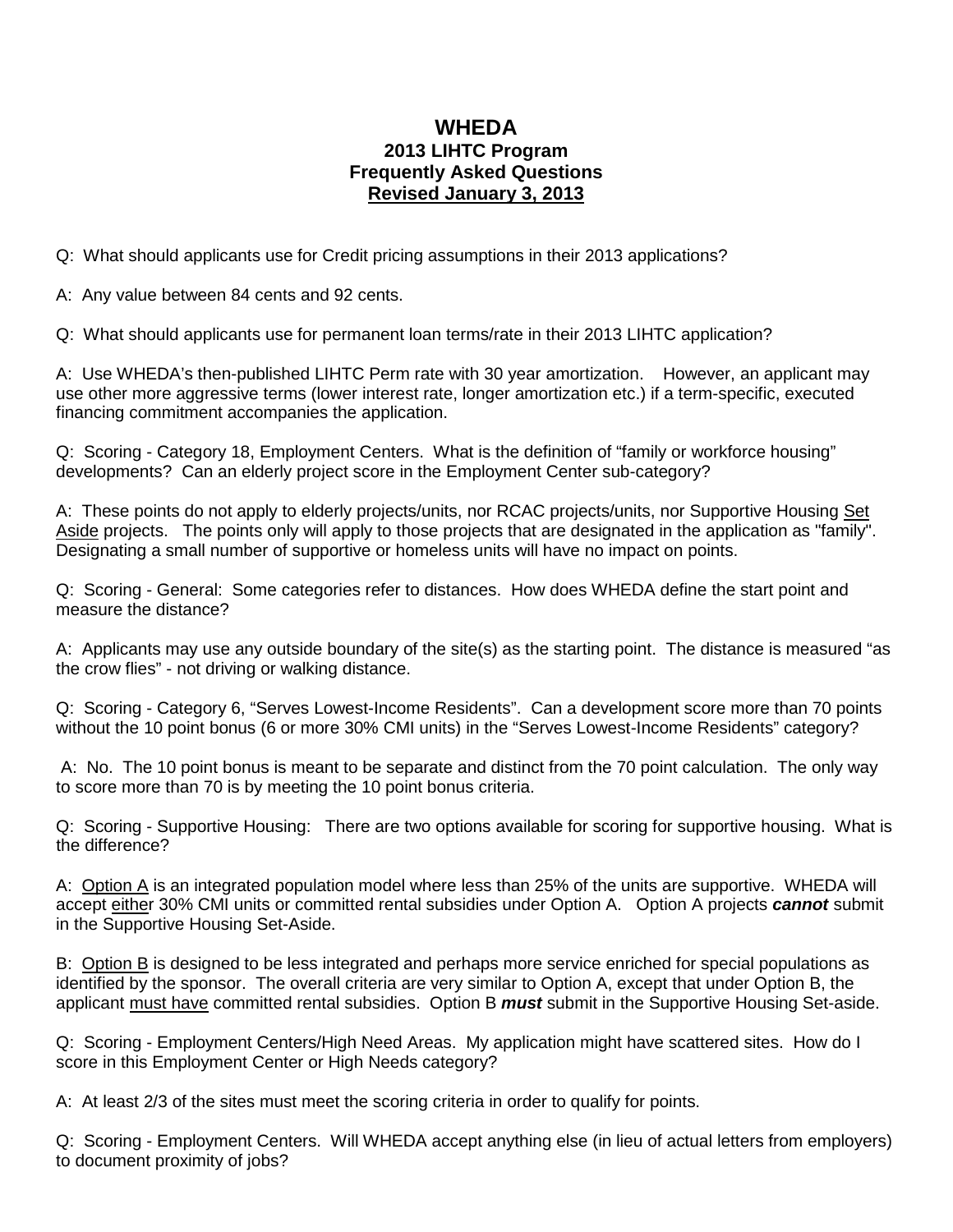## **WHEDA 2013 LIHTC Program Frequently Asked Questions Revised January 3, 2013**

Q: What should applicants use for Credit pricing assumptions in their 2013 applications?

A: Any value between 84 cents and 92 cents.

Q: What should applicants use for permanent loan terms/rate in their 2013 LIHTC application?

A: Use WHEDA's then-published LIHTC Perm rate with 30 year amortization. However, an applicant may use other more aggressive terms (lower interest rate, longer amortization etc.) if a term-specific, executed financing commitment accompanies the application.

Q: Scoring - Category 18, Employment Centers. What is the definition of "family or workforce housing" developments? Can an elderly project score in the Employment Center sub-category?

A: These points do not apply to elderly projects/units, nor RCAC projects/units, nor Supportive Housing Set Aside projects. The points only will apply to those projects that are designated in the application as "family". Designating a small number of supportive or homeless units will have no impact on points.

Q: Scoring - General: Some categories refer to distances. How does WHEDA define the start point and measure the distance?

A: Applicants may use any outside boundary of the site(s) as the starting point. The distance is measured "as the crow flies" - not driving or walking distance.

Q: Scoring - Category 6, "Serves Lowest-Income Residents". Can a development score more than 70 points without the 10 point bonus (6 or more 30% CMI units) in the "Serves Lowest-Income Residents" category?

A: No. The 10 point bonus is meant to be separate and distinct from the 70 point calculation. The only way to score more than 70 is by meeting the 10 point bonus criteria.

Q: Scoring - Supportive Housing: There are two options available for scoring for supportive housing. What is the difference?

A: Option A is an integrated population model where less than 25% of the units are supportive. WHEDA will accept either 30% CMI units or committed rental subsidies under Option A. Option A projects *cannot* submit in the Supportive Housing Set-Aside.

B: Option B is designed to be less integrated and perhaps more service enriched for special populations as identified by the sponsor. The overall criteria are very similar to Option A, except that under Option B, the applicant must have committed rental subsidies. Option B *must* submit in the Supportive Housing Set-aside.

Q: Scoring - Employment Centers/High Need Areas. My application might have scattered sites. How do I score in this Employment Center or High Needs category?

A: At least 2/3 of the sites must meet the scoring criteria in order to qualify for points.

Q: Scoring - Employment Centers. Will WHEDA accept anything else (in lieu of actual letters from employers) to document proximity of jobs?